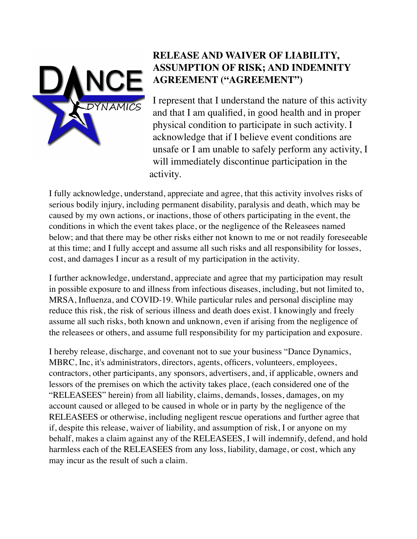

## **RELEASE AND WAIVER OF LIABILITY, ASSUMPTION OF RISK; AND INDEMNITY AGREEMENT ("AGREEMENT")**

I represent that I understand the nature of this activity and that I am qualified, in good health and in proper physical condition to participate in such activity. I acknowledge that if I believe event conditions are unsafe or I am unable to safely perform any activity, I will immediately discontinue participation in the activity.

I fully acknowledge, understand, appreciate and agree, that this activity involves risks of serious bodily injury, including permanent disability, paralysis and death, which may be caused by my own actions, or inactions, those of others participating in the event, the conditions in which the event takes place, or the negligence of the Releasees named below; and that there may be other risks either not known to me or not readily foreseeable at this time; and I fully accept and assume all such risks and all responsibility for losses, cost, and damages I incur as a result of my participation in the activity.

I further acknowledge, understand, appreciate and agree that my participation may result in possible exposure to and illness from infectious diseases, including, but not limited to, MRSA, Influenza, and COVID-19. While particular rules and personal discipline may reduce this risk, the risk of serious illness and death does exist. I knowingly and freely assume all such risks, both known and unknown, even if arising from the negligence of the releasees or others, and assume full responsibility for my participation and exposure.

I hereby release, discharge, and covenant not to sue your business "Dance Dynamics, MBRC, Inc, it's administrators, directors, agents, officers, volunteers, employees, contractors, other participants, any sponsors, advertisers, and, if applicable, owners and lessors of the premises on which the activity takes place, (each considered one of the "RELEASEES" herein) from all liability, claims, demands, losses, damages, on my account caused or alleged to be caused in whole or in party by the negligence of the RELEASEES or otherwise, including negligent rescue operations and further agree that if, despite this release, waiver of liability, and assumption of risk, I or anyone on my behalf, makes a claim against any of the RELEASEES, I will indemnify, defend, and hold harmless each of the RELEASEES from any loss, liability, damage, or cost, which any may incur as the result of such a claim.